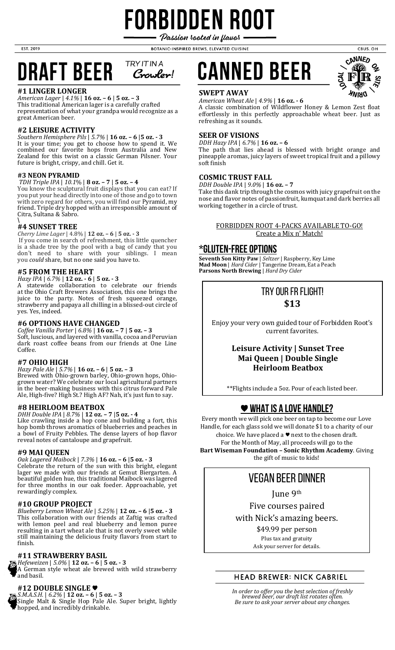# FORBIDDEN ROOT Passion rooted in flavor

BOTANIC-INSPIRED BREWS, ELEVATED CUISINE

#### **TRY IT IN A DRAFT BEER** Crowler!

## **#1 LINGER LONGER**

EST. 2019

*American Lager* | *4.1%* | **16 oz. – 6** | **5 oz. – 3** This traditional American lager is a carefully crafted representation of what your grandpa would recognize as a great American beer.

## **#2 LEISURE ACTIVITY**

*Southern Hemisphere Pils* | *5.7%* | **16 oz. – 6** |**5 oz. - 3**  It is your time; you get to choose how to spend it. We combined our favorite hops from Australia and New Zealand for this twist on a classic German Pilsner. Your future is bright, crispy, and chill. Get it.

#### **#3 NEON PYRAMID**

*TDH Triple IPA* | *10.1*% | **8 oz. – 7** | **5 oz. – 4**

You know the sculptural fruit displays that you can eat? If you put your head directly into one of those and go to town with zero regard for others, you will find our Pyramid, my friend. Triple dry hopped with an irresponsible amount of Citra, Sultana & Sabro.

#### \ **#4 SUNSET TREE**

*Cherry Lime Lager* | 4.8% | **12 oz. – 6** | **5 oz. - 3** If you come in search of refreshment, this little quencher is a shade tree by the pool with a bag of candy that you don't need to share with your siblings. I mean you *could* share, but no one said you have to.

## **#5 FROM THE HEART**

*Hazy IPA* | *6.7%* | **12 oz. - 6** | **5 oz. - 3** A statewide collaboration to celebrate our friends at the Ohio Craft Brewers Association, this one brings the juice to the party. Notes of fresh squeezed orange, strawberry and papaya all chilling in a blissed-out circle of yes. Yes, indeed.

#### **#6 OPTIONS HAVE CHANGED**

*Coffee Vanilla Porter* | *6.8%* | **16 oz. – 7** | **5 oz. – 3**  Soft, luscious, and layered with vanilla, cocoa and Peruvian dark roast coffee beans from our friends at One Line Coffee.

### **#7 OHIO HIGH**

*Hazy Pale Ale* | *5.7%* | **16 oz. – 6** | **5 oz. – 3**  Brewed with Ohio-grown barley, Ohio-grown hops, Ohiogrown water? We celebrate our local agricultural partners in the beer-making business with this citrus forward Pale Ale, High-five? High St.? High AF? Nah, it's just fun to say.

### **#8 HEIRLOOM BEATBOX**

*DHH Double IPA* | *8.7%* | **12 oz. – 7** |**5 oz. - 4**  Like crawling inside a hop cone and building a fort, this hop bomb throws aromatics of blueberries and peaches in a bowl of Fruity Pebbles. The dense layers of hop flavor reveal notes of cantaloupe and grapefruit.

### **#9 MAI QUEEN**

*Oak Lagered Maibock* | *7.3%* | **16 oz. – 6** |**5 oz. - 3**  Celebrate the return of the sun with this bright, elegant lager we made with our friends at Gemut Biergarten. A beautiful golden hue, this traditional Maibock was lagered for three months in our oak foeder. Approachable, yet rewardingly complex.

### **#10 GROUP PROJECT**

*Blueberry Lemon Wheat Ale* | *5.25%* | **12 oz. – 6** |**5 oz. - 3**  This collaboration with our friends at Zaftig was crafted with lemon peel and real blueberry and lemon puree resulting in a tart wheat ale that is not overly sweet while still maintaining the delicious fruity flavors from start to finish.

#### **#11 STRAWBERRY BASIL**

*Hefeweizen* | *5.0%* | **12 oz. – 6** | **5 oz. - 3**

A German style wheat ale brewed with wild strawberry and basil.

## **#12 DOUBLE SINGLE** ♥



*S.M.A.S.H.* | *6.2%* | **12 oz. – 6** | **5 oz. – 3** Single Malt & Single Hop Pale Ale. Super bright, lightly hopped, and incredibly drinkable.





CBUS. OH

#### **SWEPT AWAY**

*American Wheat Ale* | *4.9%* | **16 oz. - 6**

A classic combination of Wildflower Honey & Lemon Zest float effortlessly in this perfectly approachable wheat beer. Just as refreshing as it sounds.

## **SEER OF VISIONS**

*DDH Hazy IPA* | *6.7%* | **16 oz. – 6** The path that lies ahead is blessed with bright orange and pineapple aromas, juicy layers of sweet tropical fruit and a pillowy soft finish

#### **COSMIC TRUST FALL**

*DDH Double IPA* | *9.0%* | **16 oz. – 7**

Take this dank trip through the cosmos with juicy grapefruit on the nose and flavor notes of passionfruit, kumquat and dark berries all working together in a circle of trust.

#### FORBIDDEN ROOT 4-PACKS AVAILABLE TO-GO! Create a Mix n' Match!

## **\*GLUTEN-FREE OPTIONS**

**Seventh Son Kitty Paw** | *Seltzer* | Raspberry, Key Lime **Mad Moon** | *Hard Cider* | Tangerine Dream, Eat a Peach **Parsons North Brewing** | *Hard Dry Cider*

## Try our fr flight! **\$13**

Enjoy your very own guided tour of Forbidden Root's current favorites.

## **Leisure Activity | Sunset Tree Mai Queen | Double Single Heirloom Beatbox**

\*\*Flights include a 5oz. Pour of each listed beer.

## ♥**WHAT IS A LOVE HANDLE?**

Every month we will pick one beer on tap to become our Love Handle, for each glass sold we will donate \$1 to a charity of our choice. We have placed a ♥ next to the chosen draft. For the Month of May, all proceeds will go to the **Bart Wiseman Foundation – Sonic Rhythm Academy**. Giving the gift of music to kids!

## Vegan Beer dinner

June 9th

Five courses paired

with Nick's amazing beers.

\$49.99 per person Plus tax and gratuity Ask your server for details.

## **HEAD BREWER: NICK GABRIEL**

*In order to offer you the best selection of freshly brewed beer, our draft list rotates often. Be sure to ask your server about any changes.*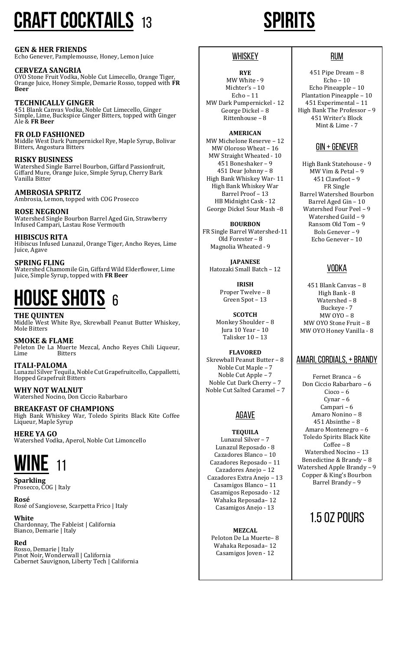# **CRAFT COCKTAILS** <sup>13</sup> **spirits**

**GEN & HER FRIENDS** Echo Genever, Pamplemousse, Honey, Lemon Juice

**CERVEZA SANGRIA** OYO Stone Fruit Vodka, Noble Cut Limecello, Orange Tiger, Orange Juice, Honey Simple, Demarie Rosso, topped with **FR Beer**

**TECHNICALLY GINGER** 451 Blank Canvas Vodka, Noble Cut Limecello, Ginger Simple, Lime, Buckspice Ginger Bitters, topped with Ginger Ale & **FR Beer**

**FR OLD FASHIONED** Middle West Dark Pumpernickel Rye, Maple Syrup, Bolivar Bitters, Angostura Bitters

**RISKY BUSINESS** Watershed Single Barrel Bourbon, Giffard Passionfruit, Giffard Mure, Orange Juice, Simple Syrup, Cherry Bark Vanilla Bitter

**AMBROSIA SPRITZ** Ambrosia, Lemon, topped with COG Prosecco

**ROSE NEGRONI** Watershed Single Bourbon Barrel Aged Gin, Strawberry Infused Campari, Lastau Rose Vermouth

**HIBISCUS RITA** Hibiscus Infused Lunazul, Orange Tiger, Ancho Reyes, Lime Juice, Agave

**SPRING FLING** Watershed Chamomile Gin, Giffard Wild Elderflower, Lime Juice, Simple Syrup, topped with **FR Beer**

# **House shots** <sup>6</sup>

**THE QUINTEN** Middle West White Rye, Skrewball Peanut Butter Whiskey, Mole Bitters

**SMOKE & FLAME** Peleton De La Muerte Mezcal, Ancho Reyes Chili Liqueur, Lime Bitters

**ITALI-PALOMA** Lunazul Silver Tequila, Noble Cut Grapefruitcello, Cappalletti, Hopped Grapefruit Bitters

**WHY NOT WALNUT** Watershed Nocino, Don Ciccio Rabarbaro

**BREAKFAST OF CHAMPIONS** High Bank Whiskey War, Toledo Spirits Black Kite Coffee Liqueur, Maple Syrup

**HERE YA GO** Watershed Vodka, Aperol, Noble Cut Limoncello



**Sparkling** Prosecco, COG | Italy

**Rosé** Rosé of Sangiovese, Scarpetta Frico | Italy

**White** Chardonnay, The Fableist | California Bianco, Demarie | Italy

## **Red**

Rosso, Demarie | Italy Pinot Noir, Wonderwall | California Cabernet Sauvignon, Liberty Tech | California

## **WHISKEY**

**RYE** MW White - 9 Michter's – 10 Echo – 11 MW Dark Pumpernickel - 12 George Dickel – 8 Rittenhouse – 8

**AMERICAN**

MW Michelone Reserve – 12 MW Oloroso Wheat – 16 MW Straight Wheated - 10 451 Boneshaker – 9 451 Dear Johnny – 8 High Bank Whiskey War- 11 High Bank Whiskey War Barrel Proof – 13 HB Midnight Cask - 12 George Dickel Sour Mash –8

**BOURBON** FR Single Barrel Watershed-11 Old Forester – 8 Magnolia Wheated - 9

**JAPANESE** Hatozaki Small Batch – 12

> **IRISH** Proper Twelve – 8 Green Spot – 13

**SCOTCH** Monkey Shoulder – 8 Jura 10 Year – 10 Talisker 10 – 13

**FLAVORED** Skrewball Peanut Butter – 8 Noble Cut Maple – 7 Noble Cut Apple – 7 Noble Cut Dark Cherry – 7 Noble Cut Salted Caramel – 7

## AGAVE

**TEQUILA** Lunazul Silver – 7 Lunazul Reposado - 8 Cazadores Blanco – 10 Cazadores Reposado – 11 Cazadores Anejo – 12 Cazadores Extra Anejo – 13 Casamigos Blanco – 11 Casamigos Reposado - 12 Wahaka Reposada– 12 Casamigos Anejo - 13

**MEZCAL** Peloton De La Muerte– 8 Wahaka Reposada– 12 Casamigos Joven - 12

## RUM

451 Pipe Dream – 8 Echo – 10 Echo Pineapple – 10 Plantation Pineapple – 10 451 Experimental – 11 High Bank The Professor – 9 451 Writer's Block Mint & Lime - 7

## GIN + GENEVER

High Bank Statehouse - 9 MW Vim & Petal – 9 451 Clawfoot – 9 FR Single Barrel Watershed Bourbon Barrel Aged Gin – 10 Watershed Four Peel – 9 Watershed Guild – 9 Ransom Old Tom – 9 Bols Genever – 9 Echo Genever – 10

## VODKA

451 Blank Canvas – 8 High Bank - 8 Watershed – 8 Buckeye - 7 MW OYO – 8 MW OYO Stone Fruit – 8 MW OYO Honey Vanilla - 8

## AMARI, CORDIALS, + BRANDY

Fernet Branca – 6 Don Ciccio Rabarbaro – 6 Cioco – 6 Cynar – 6 Campari – 6 Amaro Nonino – 8 451 Absinthe – 8 Amaro Montenegro – 6 Toledo Spirits Black Kite Coffee – 8 Watershed Nocino – 13 Benedictine & Brandy – 8 Watershed Apple Brandy – 9 Copper & King's Bourbon Barrel Brandy – 9

## 1.5 OZ POURS